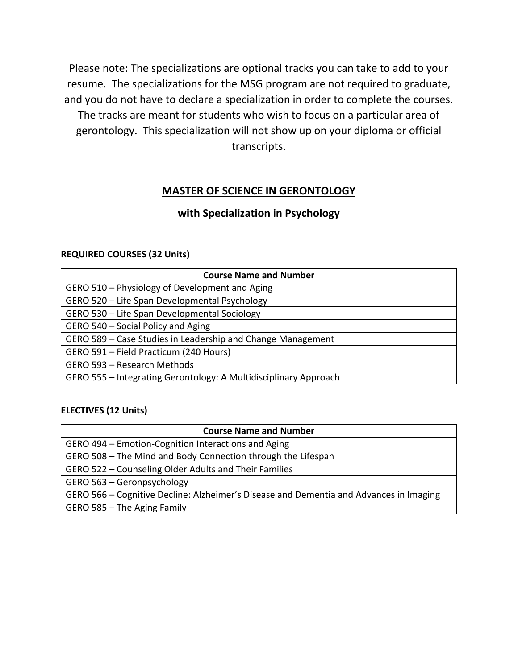Please note: The specializations are optional tracks you can take to add to your resume. The specializations for the MSG program are not required to graduate, and you do not have to declare a specialization in order to complete the courses. The tracks are meant for students who wish to focus on a particular area of gerontology. This specialization will not show up on your diploma or official transcripts.

### **MASTER OF SCIENCE IN GERONTOLOGY**

### **with Specialization in Psychology**

#### **REQUIRED COURSES (32 Units)**

| <b>Course Name and Number</b>                                    |
|------------------------------------------------------------------|
| GERO 510 – Physiology of Development and Aging                   |
| GERO 520 - Life Span Developmental Psychology                    |
| GERO 530 - Life Span Developmental Sociology                     |
| GERO 540 - Social Policy and Aging                               |
| GERO 589 - Case Studies in Leadership and Change Management      |
| GERO 591 - Field Practicum (240 Hours)                           |
| GERO 593 - Research Methods                                      |
| GERO 555 - Integrating Gerontology: A Multidisciplinary Approach |

| <b>Course Name and Number</b>                                                          |
|----------------------------------------------------------------------------------------|
| GERO 494 – Emotion-Cognition Interactions and Aging                                    |
| GERO 508 - The Mind and Body Connection through the Lifespan                           |
| GERO 522 – Counseling Older Adults and Their Families                                  |
| GERO 563 - Geronpsychology                                                             |
| GERO 566 – Cognitive Decline: Alzheimer's Disease and Dementia and Advances in Imaging |
| GERO 585 - The Aging Family                                                            |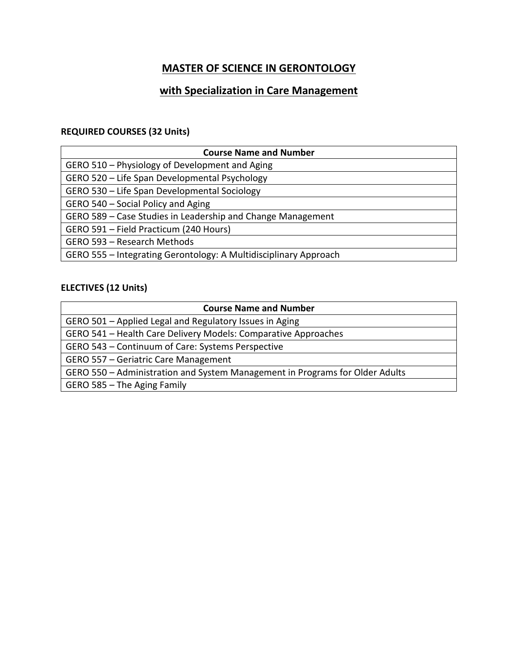# **with Specialization in Care Management**

### **REQUIRED COURSES (32 Units)**

| <b>Course Name and Number</b>                                    |
|------------------------------------------------------------------|
| GERO 510 - Physiology of Development and Aging                   |
| GERO 520 - Life Span Developmental Psychology                    |
| GERO 530 - Life Span Developmental Sociology                     |
| GERO 540 - Social Policy and Aging                               |
| GERO 589 – Case Studies in Leadership and Change Management      |
| GERO 591 - Field Practicum (240 Hours)                           |
| GERO 593 - Research Methods                                      |
| GERO 555 - Integrating Gerontology: A Multidisciplinary Approach |

| <b>Course Name and Number</b>                                                |
|------------------------------------------------------------------------------|
| GERO 501 - Applied Legal and Regulatory Issues in Aging                      |
| GERO 541 - Health Care Delivery Models: Comparative Approaches               |
| GERO 543 – Continuum of Care: Systems Perspective                            |
| GERO 557 - Geriatric Care Management                                         |
| GERO 550 – Administration and System Management in Programs for Older Adults |
| GERO 585 - The Aging Family                                                  |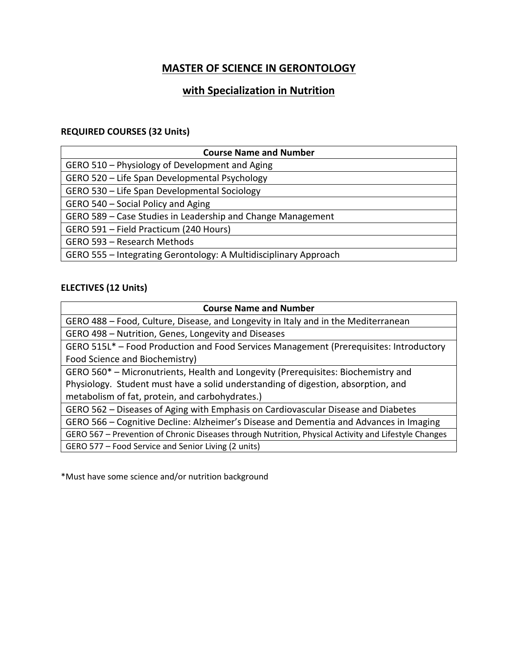## **with Specialization in Nutrition**

#### **REQUIRED COURSES (32 Units)**

| <b>Course Name and Number</b>                                    |
|------------------------------------------------------------------|
| GERO 510 – Physiology of Development and Aging                   |
| GERO 520 - Life Span Developmental Psychology                    |
| GERO 530 - Life Span Developmental Sociology                     |
| GERO 540 - Social Policy and Aging                               |
| GERO 589 – Case Studies in Leadership and Change Management      |
| GERO 591 - Field Practicum (240 Hours)                           |
| GERO 593 - Research Methods                                      |
| GERO 555 - Integrating Gerontology: A Multidisciplinary Approach |

#### **ELECTIVES (12 Units)**

| <b>Course Name and Number</b>                                                                        |
|------------------------------------------------------------------------------------------------------|
| GERO 488 - Food, Culture, Disease, and Longevity in Italy and in the Mediterranean                   |
| GERO 498 - Nutrition, Genes, Longevity and Diseases                                                  |
| GERO 515L* - Food Production and Food Services Management (Prerequisites: Introductory               |
| Food Science and Biochemistry)                                                                       |
| GERO 560* – Micronutrients, Health and Longevity (Prerequisites: Biochemistry and                    |
| Physiology. Student must have a solid understanding of digestion, absorption, and                    |
| metabolism of fat, protein, and carbohydrates.)                                                      |
| GERO 562 - Diseases of Aging with Emphasis on Cardiovascular Disease and Diabetes                    |
| GERO 566 – Cognitive Decline: Alzheimer's Disease and Dementia and Advances in Imaging               |
| GERO 567 - Prevention of Chronic Diseases through Nutrition, Physical Activity and Lifestyle Changes |
| GERO 577 - Food Service and Senior Living (2 units)                                                  |

\*Must have some science and/or nutrition background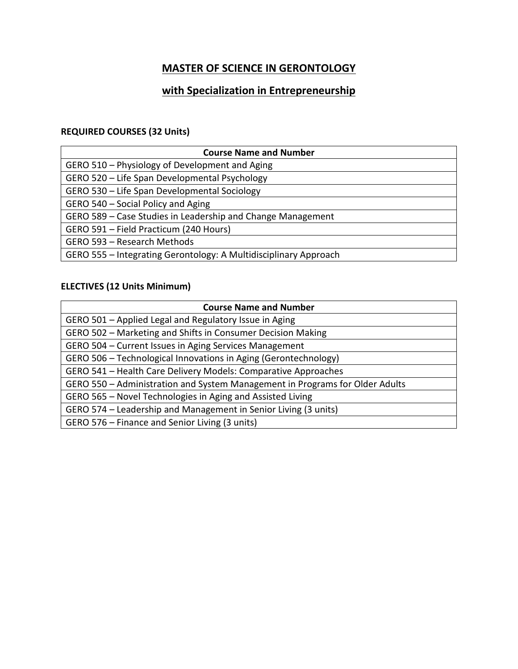## **with Specialization in Entrepreneurship**

### **REQUIRED COURSES (32 Units)**

| <b>Course Name and Number</b>                                    |
|------------------------------------------------------------------|
| GERO 510 – Physiology of Development and Aging                   |
| GERO 520 - Life Span Developmental Psychology                    |
| GERO 530 - Life Span Developmental Sociology                     |
| GERO 540 - Social Policy and Aging                               |
| GERO 589 – Case Studies in Leadership and Change Management      |
| GERO 591 - Field Practicum (240 Hours)                           |
| GERO 593 - Research Methods                                      |
| GERO 555 - Integrating Gerontology: A Multidisciplinary Approach |

### **ELECTIVES (12 Units Minimum)**

| <b>Course Name and Number</b>                                                |
|------------------------------------------------------------------------------|
| GERO 501 - Applied Legal and Regulatory Issue in Aging                       |
| GERO 502 - Marketing and Shifts in Consumer Decision Making                  |
| GERO 504 - Current Issues in Aging Services Management                       |
| GERO 506 - Technological Innovations in Aging (Gerontechnology)              |
| GERO 541 - Health Care Delivery Models: Comparative Approaches               |
| GERO 550 – Administration and System Management in Programs for Older Adults |
| GERO 565 - Novel Technologies in Aging and Assisted Living                   |
| GERO 574 – Leadership and Management in Senior Living (3 units)              |
| GERO 576 – Finance and Senior Living (3 units)                               |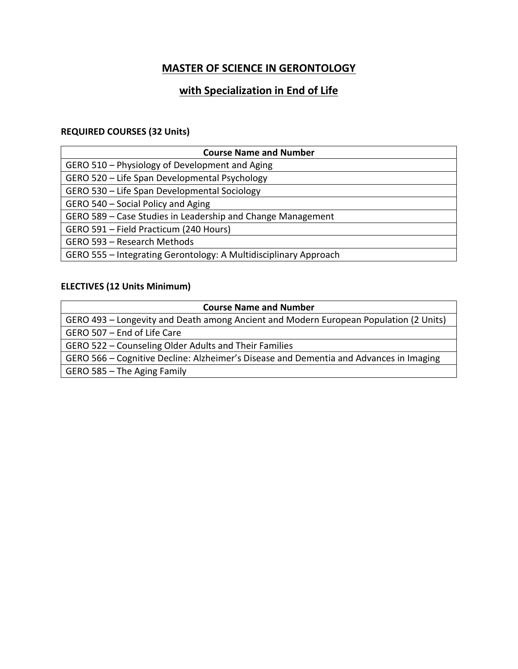## **with Specialization in End of Life**

#### **REQUIRED COURSES (32 Units)**

| <b>Course Name and Number</b>                                    |
|------------------------------------------------------------------|
| GERO 510 - Physiology of Development and Aging                   |
| GERO 520 - Life Span Developmental Psychology                    |
| GERO 530 - Life Span Developmental Sociology                     |
| GERO 540 - Social Policy and Aging                               |
| GERO 589 - Case Studies in Leadership and Change Management      |
| GERO 591 - Field Practicum (240 Hours)                           |
| GERO 593 - Research Methods                                      |
| GERO 555 - Integrating Gerontology: A Multidisciplinary Approach |

### **ELECTIVES (12 Units Minimum)**

| <b>Course Name and Number</b>                                                          |
|----------------------------------------------------------------------------------------|
| GERO 493 – Longevity and Death among Ancient and Modern European Population (2 Units)  |
| GERO 507 - End of Life Care                                                            |
| GERO 522 - Counseling Older Adults and Their Families                                  |
| GERO 566 – Cognitive Decline: Alzheimer's Disease and Dementia and Advances in Imaging |
| GERO 585 - The Aging Family                                                            |
|                                                                                        |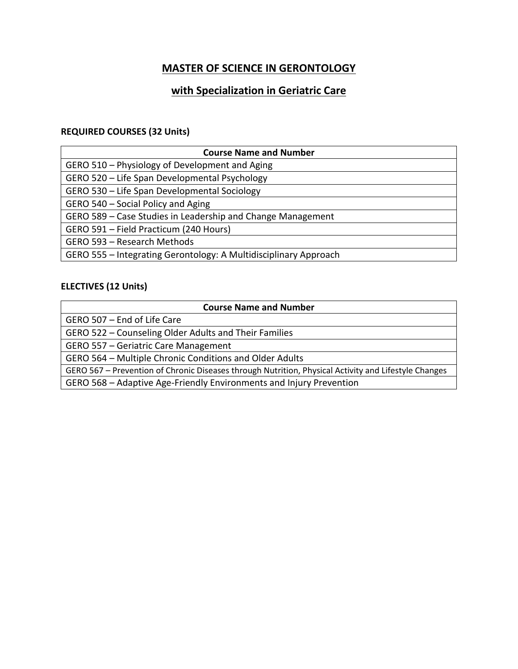# **with Specialization in Geriatric Care**

# **REQUIRED COURSES (32 Units)**

| <b>Course Name and Number</b>                                    |
|------------------------------------------------------------------|
| GERO 510 - Physiology of Development and Aging                   |
| GERO 520 - Life Span Developmental Psychology                    |
| GERO 530 - Life Span Developmental Sociology                     |
| GERO 540 - Social Policy and Aging                               |
| GERO 589 - Case Studies in Leadership and Change Management      |
| GERO 591 - Field Practicum (240 Hours)                           |
| GERO 593 - Research Methods                                      |
| GERO 555 - Integrating Gerontology: A Multidisciplinary Approach |

| <b>Course Name and Number</b>                                                                        |
|------------------------------------------------------------------------------------------------------|
| GERO 507 - End of Life Care                                                                          |
| GERO 522 - Counseling Older Adults and Their Families                                                |
| GERO 557 - Geriatric Care Management                                                                 |
| GERO 564 - Multiple Chronic Conditions and Older Adults                                              |
| GERO 567 - Prevention of Chronic Diseases through Nutrition, Physical Activity and Lifestyle Changes |
| GERO 568 - Adaptive Age-Friendly Environments and Injury Prevention                                  |